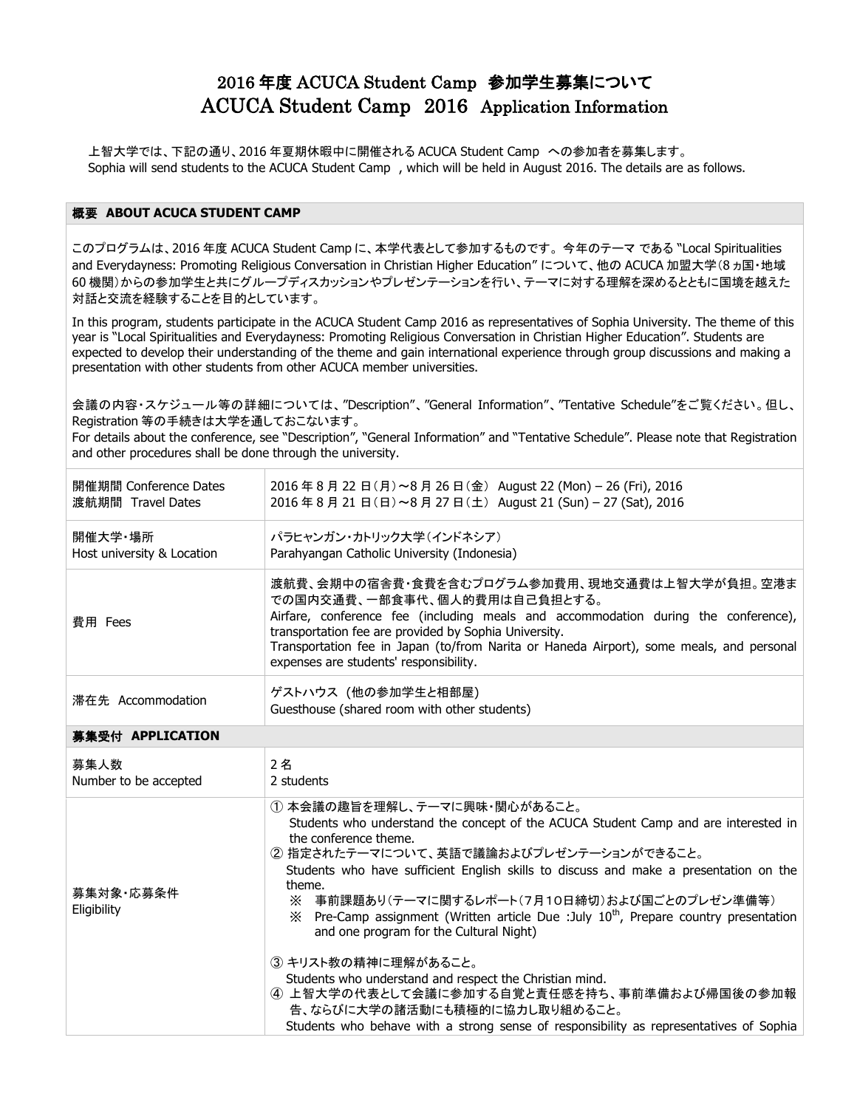# 2016 年度 ACUCA Student Camp 参加学生募集について ACUCA Student Camp 2016 Application Information

上智大学では、下記の通り、2016 年夏期休暇中に開催される ACUCA Student Camp への参加者を募集します。 Sophia will send students to the ACUCA Student Camp , which will be held in August 2016. The details are as follows.

#### 概要 **ABOUT ACUCA STUDENT CAMP**

このプログラムは、2016 年度 ACUCA Student Camp に、本学代表として参加するものです。 今年のテーマ である "Local Spiritualities and Everydayness: Promoting Religious Conversation in Christian Higher Education" について、他の ACUCA 加盟大学(8 ヵ国・地域 60 機関)からの参加学生と共にグループディスカッションやプレゼンテーションを行い、テーマに対する理解を深めるとともに国境を越えた 対話と交流を経験することを目的としています。

In this program, students participate in the ACUCA Student Camp 2016 as representatives of Sophia University. The theme of this year is "Local Spiritualities and Everydayness: Promoting Religious Conversation in Christian Higher Education". Students are expected to develop their understanding of the theme and gain international experience through group discussions and making a presentation with other students from other ACUCA member universities.

会議の内容・スケジュール等の詳細については、"Description"、"General Information"、"Tentative Schedule"をご覧ください。但し、 Registration 等の手続きは大学を通しておこないます。

For details about the conference, see "Description", "General Information" and "Tentative Schedule". Please note that Registration and other procedures shall be done through the university.

| 開催期間 Conference Dates      | 2016年8月22日(月)~8月26日(金) August 22 (Mon) - 26 (Fri), 2016                                                                                                                                                                                                                                                                                                            |
|----------------------------|--------------------------------------------------------------------------------------------------------------------------------------------------------------------------------------------------------------------------------------------------------------------------------------------------------------------------------------------------------------------|
| 渡航期間 Travel Dates          | 2016年8月21日(日)~8月27日(土) August 21 (Sun) - 27 (Sat), 2016                                                                                                                                                                                                                                                                                                            |
| 開催大学・場所                    | パラヒャンガン・カトリック大学(インドネシア)                                                                                                                                                                                                                                                                                                                                            |
| Host university & Location | Parahyangan Catholic University (Indonesia)                                                                                                                                                                                                                                                                                                                        |
| 費用 Fees                    | 渡航費、会期中の宿舎費・食費を含むプログラム参加費用、現地交通費は上智大学が負担。 空港ま<br>での国内交通費、一部食事代、個人的費用は自己負担とする。<br>Airfare, conference fee (including meals and accommodation during the conference),<br>transportation fee are provided by Sophia University.<br>Transportation fee in Japan (to/from Narita or Haneda Airport), some meals, and personal<br>expenses are students' responsibility. |
| 滞在先 Accommodation          | ゲストハウス (他の参加学生と相部屋)<br>Guesthouse (shared room with other students)                                                                                                                                                                                                                                                                                                |

### 募集受付 **APPLICATION**

| 募集人数                     | 2名                                                                                                                                                                                                                                                                                                                                                                                                                                                                                                                                                                                                                                                                                                                                                   |
|--------------------------|------------------------------------------------------------------------------------------------------------------------------------------------------------------------------------------------------------------------------------------------------------------------------------------------------------------------------------------------------------------------------------------------------------------------------------------------------------------------------------------------------------------------------------------------------------------------------------------------------------------------------------------------------------------------------------------------------------------------------------------------------|
| Number to be accepted    | 2 students                                                                                                                                                                                                                                                                                                                                                                                                                                                                                                                                                                                                                                                                                                                                           |
| 募集対象·応募条件<br>Eligibility | (1) 本会議の趣旨を理解し、テーマに興味・関心があること。<br>Students who understand the concept of the ACUCA Student Camp and are interested in<br>the conference theme.<br>② 指定されたテーマについて、英語で議論およびプレゼンテーションができること。<br>Students who have sufficient English skills to discuss and make a presentation on the<br>theme.<br>※ 事前課題あり(テーマに関するレポート(7月10日締切)および国ごとのプレゼン準備等)<br>$\%$ Pre-Camp assignment (Written article Due : July $10^{th}$ , Prepare country presentation<br>and one program for the Cultural Night)<br>③ キリスト教の精神に理解があること。<br>Students who understand and respect the Christian mind.<br>4 上智大学の代表として会議に参加する自覚と責任感を持ち、事前準備および帰国後の参加報<br>告、ならびに大学の諸活動にも積極的に協力し取り組めること。<br>Students who behave with a strong sense of responsibility as representatives of Sophia |